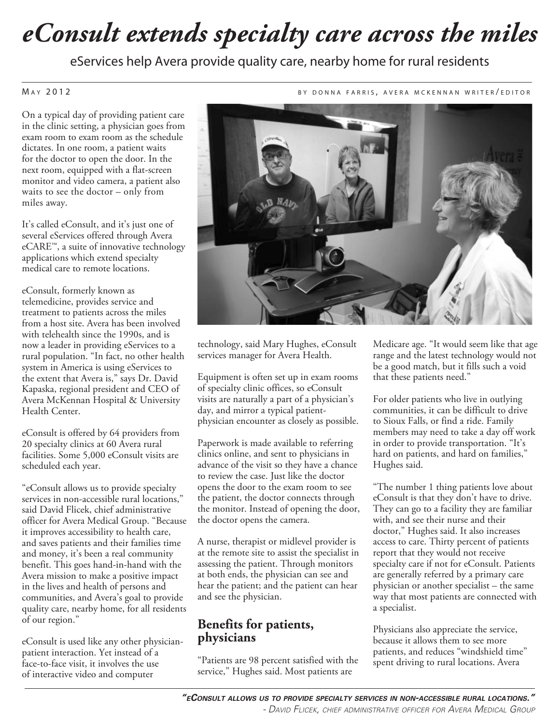# *eConsult extends specialty care across the miles*

eServices help Avera provide quality care, nearby home for rural residents

#### M a y 2012 **b a contract a feature in the contract of the s**  $\alpha$  of the research of the r  $\alpha$  r  $\alpha$  r  $\alpha$  r  $\alpha$  r  $\alpha$  r  $\alpha$  r  $\alpha$  r  $\alpha$  r  $\alpha$  r  $\alpha$  r  $\alpha$  r  $\alpha$  r  $\alpha$  r  $\alpha$  r  $\alpha$  r  $\alpha$  r  $\alpha$  r  $\alpha$  r  $\alpha$

On a typical day of providing patient care in the clinic setting, a physician goes from exam room to exam room as the schedule dictates. In one room, a patient waits for the doctor to open the door. In the next room, equipped with a flat-screen monitor and video camera, a patient also waits to see the doctor – only from miles away.

It's called eConsult, and it's just one of several eServices offered through Avera eCARE™, a suite of innovative technology applications which extend specialty medical care to remote locations.

eConsult, formerly known as telemedicine, provides service and treatment to patients across the miles from a host site. Avera has been involved with telehealth since the 1990s, and is now a leader in providing eServices to a rural population. "In fact, no other health system in America is using eServices to the extent that Avera is," says Dr. David Kapaska, regional president and CEO of Avera McKennan Hospital & University Health Center.

eConsult is offered by 64 providers from 20 specialty clinics at 60 Avera rural facilities. Some 5,000 eConsult visits are scheduled each year.

"eConsult allows us to provide specialty services in non-accessible rural locations," said David Flicek, chief administrative officer for Avera Medical Group. "Because it improves accessibility to health care, and saves patients and their families time and money, it's been a real community benefit. This goes hand-in-hand with the Avera mission to make a positive impact in the lives and health of persons and communities, and Avera's goal to provide quality care, nearby home, for all residents of our region."

eConsult is used like any other physicianpatient interaction. Yet instead of a face-to-face visit, it involves the use of interactive video and computer

technology, said Mary Hughes, eConsult services manager for Avera Health.

Equipment is often set up in exam rooms of specialty clinic offices, so eConsult visits are naturally a part of a physician's day, and mirror a typical patientphysician encounter as closely as possible.

Paperwork is made available to referring clinics online, and sent to physicians in advance of the visit so they have a chance to review the case. Just like the doctor opens the door to the exam room to see the patient, the doctor connects through the monitor. Instead of opening the door, the doctor opens the camera.

A nurse, therapist or midlevel provider is at the remote site to assist the specialist in assessing the patient. Through monitors at both ends, the physician can see and hear the patient; and the patient can hear and see the physician.

#### **Benefits for patients, physicians**

"Patients are 98 percent satisfied with the service," Hughes said. Most patients are

Medicare age. "It would seem like that age range and the latest technology would not be a good match, but it fills such a void that these patients need."

For older patients who live in outlying communities, it can be difficult to drive to Sioux Falls, or find a ride. Family members may need to take a day off work in order to provide transportation. "It's hard on patients, and hard on families," Hughes said.

"The number 1 thing patients love about eConsult is that they don't have to drive. They can go to a facility they are familiar with, and see their nurse and their doctor," Hughes said. It also increases access to care. Thirty percent of patients report that they would not receive specialty care if not for eConsult. Patients are generally referred by a primary care physician or another specialist – the same way that most patients are connected with a specialist.

Physicians also appreciate the service, because it allows them to see more patients, and reduces "windshield time" spent driving to rural locations. Avera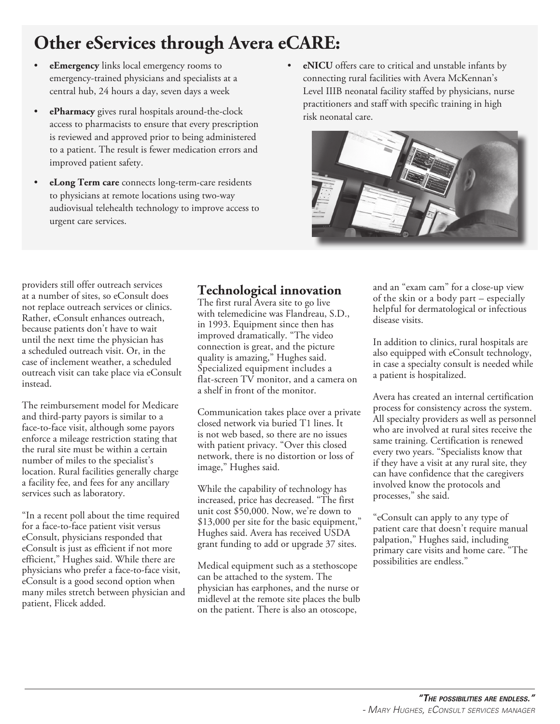## **Other eServices through Avera eCARE:**

- **eEmergency** links local emergency rooms to emergency-trained physicians and specialists at a central hub, 24 hours a day, seven days a week
- **ePharmacy** gives rural hospitals around-the-clock access to pharmacists to ensure that every prescription is reviewed and approved prior to being administered to a patient. The result is fewer medication errors and improved patient safety.
- **eLong Term care** connects long-term-care residents to physicians at remote locations using two-way audiovisual telehealth technology to improve access to urgent care services.
- **eNICU** offers care to critical and unstable infants by connecting rural facilities with Avera McKennan's Level IIIB neonatal facility staffed by physicians, nurse practitioners and staff with specific training in high risk neonatal care.



providers still offer outreach services at a number of sites, so eConsult does not replace outreach services or clinics. Rather, eConsult enhances outreach, because patients don't have to wait until the next time the physician has a scheduled outreach visit. Or, in the case of inclement weather, a scheduled outreach visit can take place via eConsult instead.

The reimbursement model for Medicare and third-party payors is similar to a face-to-face visit, although some payors enforce a mileage restriction stating that the rural site must be within a certain number of miles to the specialist's location. Rural facilities generally charge a facility fee, and fees for any ancillary services such as laboratory.

"In a recent poll about the time required for a face-to-face patient visit versus eConsult, physicians responded that eConsult is just as efficient if not more efficient," Hughes said. While there are physicians who prefer a face-to-face visit, eConsult is a good second option when many miles stretch between physician and patient, Flicek added.

### **Technological innovation**

The first rural Avera site to go live with telemedicine was Flandreau, S.D., in 1993. Equipment since then has improved dramatically. "The video connection is great, and the picture quality is amazing," Hughes said. Specialized equipment includes a flat-screen TV monitor, and a camera on a shelf in front of the monitor.

Communication takes place over a private closed network via buried T1 lines. It is not web based, so there are no issues with patient privacy. "Over this closed network, there is no distortion or loss of image," Hughes said.

While the capability of technology has increased, price has decreased. "The first unit cost \$50,000. Now, we're down to \$13,000 per site for the basic equipment," Hughes said. Avera has received USDA grant funding to add or upgrade 37 sites.

Medical equipment such as a stethoscope can be attached to the system. The physician has earphones, and the nurse or midlevel at the remote site places the bulb on the patient. There is also an otoscope,

and an "exam cam" for a close-up view of the skin or a body part – especially helpful for dermatological or infectious disease visits.

In addition to clinics, rural hospitals are also equipped with eConsult technology, in case a specialty consult is needed while a patient is hospitalized.

Avera has created an internal certification process for consistency across the system. All specialty providers as well as personnel who are involved at rural sites receive the same training. Certification is renewed every two years. "Specialists know that if they have a visit at any rural site, they can have confidence that the caregivers involved know the protocols and processes," she said.

"eConsult can apply to any type of patient care that doesn't require manual palpation," Hughes said, including primary care visits and home care. "The possibilities are endless."